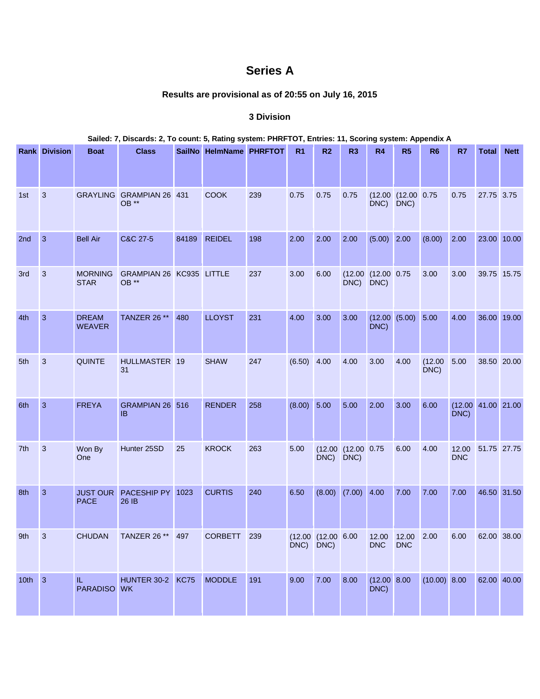## **Series A**

## **Results are provisional as of 20:55 on July 16, 2015**

## **3 Division**

|          | Sailed: 7, Discards: 2, To count: 5, Rating system: PHRFTOT, Entries: 11, Scoring system: Appendix A |                                        |                                   |       |                         |     |                |                    |                            |                            |                                |                 |                                  |             |             |
|----------|------------------------------------------------------------------------------------------------------|----------------------------------------|-----------------------------------|-------|-------------------------|-----|----------------|--------------------|----------------------------|----------------------------|--------------------------------|-----------------|----------------------------------|-------------|-------------|
|          | <b>Rank Division</b>                                                                                 | <b>Boat</b>                            | <b>Class</b>                      |       | SailNo HelmName PHRFTOT |     | R <sub>1</sub> | R <sub>2</sub>     | R <sub>3</sub>             | R4                         | R5                             | R <sub>6</sub>  | R7                               | Total       | <b>Nett</b> |
| 1st      | 3                                                                                                    |                                        | GRAYLING GRAMPIAN 26 431<br>OB ** |       | <b>COOK</b>             | 239 | 0.75           | 0.75               | 0.75                       | DNC) DNC)                  | $(12.00 \t(12.00 \t0.75$       |                 | 0.75                             | 27.75 3.75  |             |
| 2nd      | $\mathbf{3}$                                                                                         | <b>Bell Air</b>                        | C&C 27-5                          | 84189 | <b>REIDEL</b>           | 198 | 2.00           | 2.00               | 2.00                       | $(5.00)$ 2.00              |                                | (8.00)          | 2.00                             | 23.00 10.00 |             |
| 3rd      | 3                                                                                                    | <b>MORNING</b><br><b>STAR</b>          | GRAMPIAN 26 KC935 LITTLE<br>OB ** |       |                         | 237 | 3.00           | 6.00               | $DNC$ )                    | (12.00)(12.00)0.75<br>DNC) |                                | 3.00            | 3.00                             | 39.75 15.75 |             |
| 4th      | $\mathbf{3}$                                                                                         | <b>DREAM</b><br><b>WEAVER</b>          | TANZER 26 **                      | 480   | <b>LLOYST</b>           | 231 | 4.00           | 3.00               | 3.00                       | DNC)                       | (12.00   (5.00)                | 5.00            | 4.00                             | 36.00 19.00 |             |
| 5th      | 3                                                                                                    | <b>QUINTE</b>                          | HULLMASTER 19<br>31               |       | <b>SHAW</b>             | 247 | $(6.50)$ 4.00  |                    | 4.00                       | 3.00                       | 4.00                           | (12.00)<br>DNC) | 5.00                             | 38.50 20.00 |             |
| 6th      | 3                                                                                                    | <b>FREYA</b>                           | GRAMPIAN 26 516<br><b>IB</b>      |       | <b>RENDER</b>           | 258 | $(8.00)$ 5.00  |                    | 5.00                       | 2.00                       | 3.00                           | 6.00            | $(12.00 \ 41.00 \ 21.00$<br>DNC) |             |             |
| 7th      | 3                                                                                                    | Won By<br>One                          | Hunter 25SD                       | 25    | <b>KROCK</b>            | 263 | 5.00           | DNC) DNC)          | $(12.00 \t (12.00 \t 0.75$ |                            | 6.00                           | 4.00            | 12.00<br><b>DNC</b>              | 51.75 27.75 |             |
| 8th      | 3                                                                                                    | <b>JUST OUR</b><br><b>PACE</b>         | PACESHIP PY<br>26 IB              | 1023  | <b>CURTIS</b>           | 240 | 6.50           |                    | $(8.00)$ $(7.00)$ 4.00     |                            | 7.00                           | 7.00            | 7.00                             | 46.50 31.50 |             |
| 9th      | $\overline{\phantom{a}}$ 3                                                                           | <b>CHUDAN</b>                          | TANZER 26 ** 497                  |       | CORBETT 239             |     | DNC) DNC)      | (12.00 (12.00 6.00 |                            | <b>DNC</b>                 | 12.00 12.00 2.00<br><b>DNC</b> |                 | 6.00                             | 62.00 38.00 |             |
| $10th$ 3 |                                                                                                      | $\rm{H}_{\odot}$<br><b>PARADISO WK</b> | HUNTER 30-2 KC75                  |       | <b>MODDLE</b>           | 191 | 9.00           | 7.00               | 8.00                       | $(12.00 \ 8.00$<br>$DNC$ ) |                                | (10.00) 8.00    |                                  | 62.00 40.00 |             |

## **Sailed: 7, Discards: 2, To count: 5, Rating system: PHRFTOT, Entries: 11, Scoring system: Appendix A**